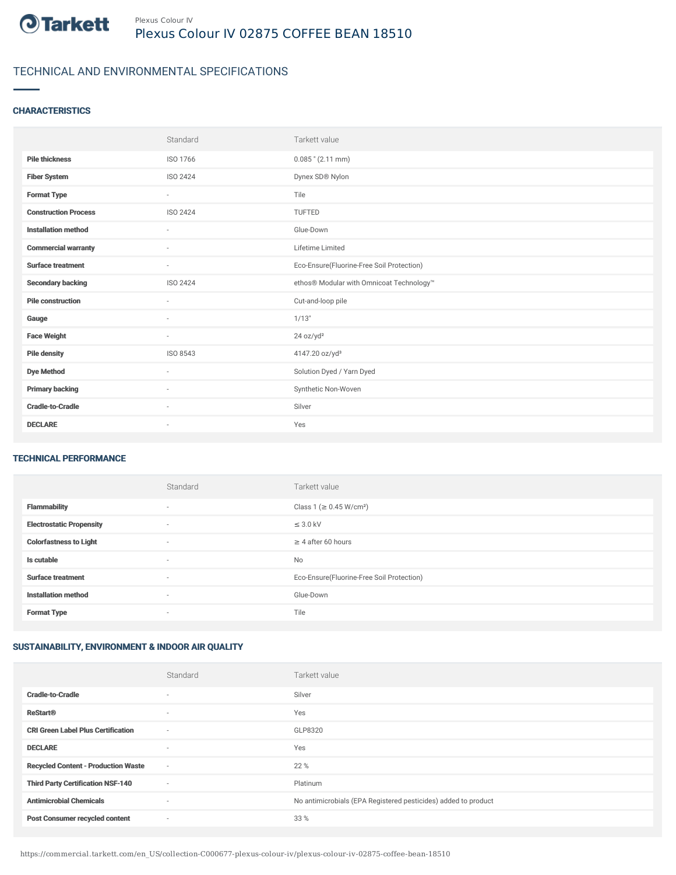

# TECHNICAL AND ENVIRONMENTAL SPECIFICATIONS

### **CHARACTERISTICS**

|                             | Standard                 | Tarkett value                             |
|-----------------------------|--------------------------|-------------------------------------------|
| <b>Pile thickness</b>       | ISO 1766                 | $0.085$ " (2.11 mm)                       |
| <b>Fiber System</b>         | ISO 2424                 | Dynex SD® Nylon                           |
| <b>Format Type</b>          | $\sim$                   | Tile                                      |
| <b>Construction Process</b> | ISO 2424                 | <b>TUFTED</b>                             |
| <b>Installation method</b>  | $\overline{\phantom{a}}$ | Glue-Down                                 |
| <b>Commercial warranty</b>  | $\sim$                   | Lifetime Limited                          |
| <b>Surface treatment</b>    | $\sim$                   | Eco-Ensure(Fluorine-Free Soil Protection) |
| <b>Secondary backing</b>    | ISO 2424                 | ethos® Modular with Omnicoat Technology™  |
| <b>Pile construction</b>    | $\sim$                   | Cut-and-loop pile                         |
| Gauge                       | ٠                        | 1/13"                                     |
| <b>Face Weight</b>          | $\overline{\phantom{a}}$ | 24 oz/yd <sup>2</sup>                     |
| <b>Pile density</b>         | ISO 8543                 | 4147.20 oz/yd <sup>3</sup>                |
| <b>Dye Method</b>           | ٠                        | Solution Dyed / Yarn Dyed                 |
| <b>Primary backing</b>      | $\sim$                   | Synthetic Non-Woven                       |
| <b>Cradle-to-Cradle</b>     | $\sim$                   | Silver                                    |
| <b>DECLARE</b>              | ٠                        | Yes                                       |

#### TECHNICAL PERFORMANCE

|                                 | Standard                 | Tarkett value                             |
|---------------------------------|--------------------------|-------------------------------------------|
| <b>Flammability</b>             | $\overline{\phantom{a}}$ | Class 1 ( $\geq$ 0.45 W/cm <sup>2</sup> ) |
| <b>Electrostatic Propensity</b> | ٠                        | $\leq$ 3.0 kV                             |
| <b>Colorfastness to Light</b>   | $\overline{\phantom{a}}$ | $\geq 4$ after 60 hours                   |
| Is cutable                      | $\overline{\phantom{a}}$ | No                                        |
| <b>Surface treatment</b>        | ٠                        | Eco-Ensure(Fluorine-Free Soil Protection) |
| <b>Installation method</b>      | $\overline{\phantom{a}}$ | Glue-Down                                 |
| <b>Format Type</b>              | $\overline{\phantom{a}}$ | Tile                                      |

## SUSTAINABILITY, ENVIRONMENT & INDOOR AIR QUALITY

|                                            | Standard                 | Tarkett value                                                  |
|--------------------------------------------|--------------------------|----------------------------------------------------------------|
| <b>Cradle-to-Cradle</b>                    | $\overline{\phantom{a}}$ | Silver                                                         |
| <b>ReStart®</b>                            | $\overline{\phantom{a}}$ | Yes                                                            |
| <b>CRI Green Label Plus Certification</b>  | $\sim$                   | GLP8320                                                        |
| <b>DECLARE</b>                             | $\overline{\phantom{a}}$ | Yes                                                            |
| <b>Recycled Content - Production Waste</b> | $\sim$                   | 22 %                                                           |
| <b>Third Party Certification NSF-140</b>   | $\sim$                   | Platinum                                                       |
| <b>Antimicrobial Chemicals</b>             | $\overline{\phantom{a}}$ | No antimicrobials (EPA Registered pesticides) added to product |
| <b>Post Consumer recycled content</b>      | ٠                        | 33 %                                                           |